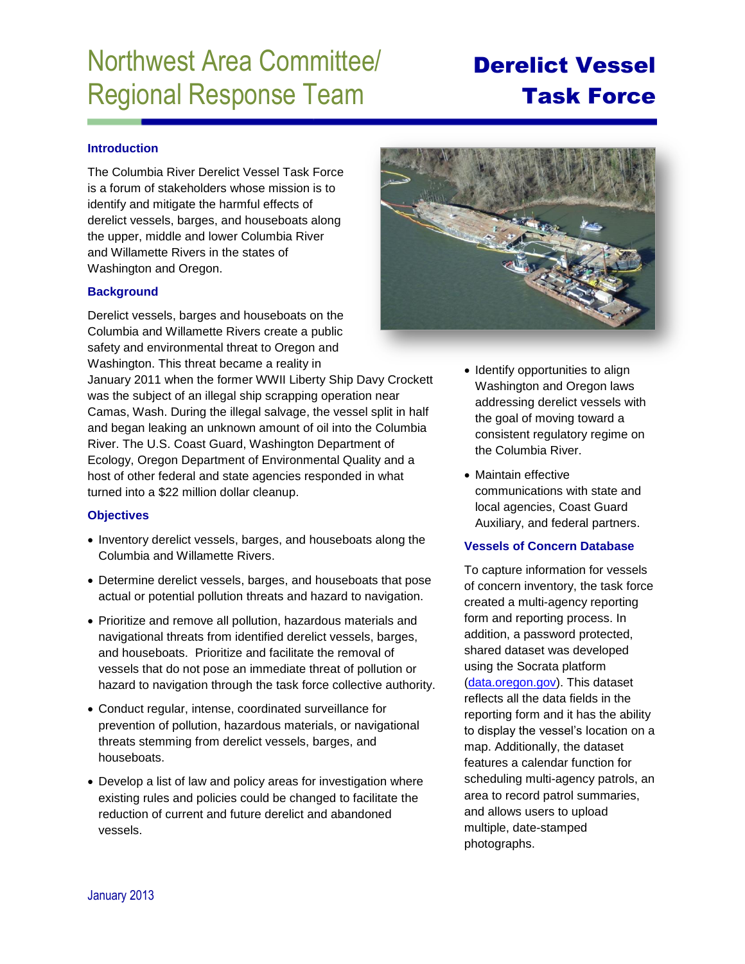# Northwest Area Committee/ Regional Response Team

## Derelict Vessel Task Force

### **Introduction**

The Columbia River Derelict Vessel Task Force is a forum of stakeholders whose mission is to identify and mitigate the harmful effects of derelict vessels, barges, and houseboats along the upper, middle and lower Columbia River and Willamette Rivers in the states of Washington and Oregon.

#### **Background**

Derelict vessels, barges and houseboats on the Columbia and Willamette Rivers create a public safety and environmental threat to Oregon and Washington. This threat became a reality in

January 2011 when the former WWII Liberty Ship Davy Crockett was the subject of an illegal ship scrapping operation near Camas, Wash. During the illegal salvage, the vessel split in half and began leaking an unknown amount of oil into the Columbia River. The U.S. Coast Guard, Washington Department of Ecology, Oregon Department of Environmental Quality and a host of other federal and state agencies responded in what turned into a \$22 million dollar cleanup.

#### **Objectives**

- Inventory derelict vessels, barges, and houseboats along the Columbia and Willamette Rivers.
- Determine derelict vessels, barges, and houseboats that pose actual or potential pollution threats and hazard to navigation.
- Prioritize and remove all pollution, hazardous materials and navigational threats from identified derelict vessels, barges, and houseboats. Prioritize and facilitate the removal of vessels that do not pose an immediate threat of pollution or hazard to navigation through the task force collective authority.
- Conduct regular, intense, coordinated surveillance for prevention of pollution, hazardous materials, or navigational threats stemming from derelict vessels, barges, and houseboats.
- Develop a list of law and policy areas for investigation where existing rules and policies could be changed to facilitate the reduction of current and future derelict and abandoned vessels.



- Identify opportunities to align Washington and Oregon laws addressing derelict vessels with the goal of moving toward a consistent regulatory regime on the Columbia River.
- Maintain effective communications with state and local agencies, Coast Guard Auxiliary, and federal partners.

#### **Vessels of Concern Database**

To capture information for vessels of concern inventory, the task force created a multi-agency reporting form and reporting process. In addition, a password protected, shared dataset was developed using the Socrata platform [\(data.oregon.gov\)](http://data.oregon.gov/). This dataset reflects all the data fields in the reporting form and it has the ability to display the vessel's location on a map. Additionally, the dataset features a calendar function for scheduling multi-agency patrols, an area to record patrol summaries, and allows users to upload multiple, date-stamped photographs.